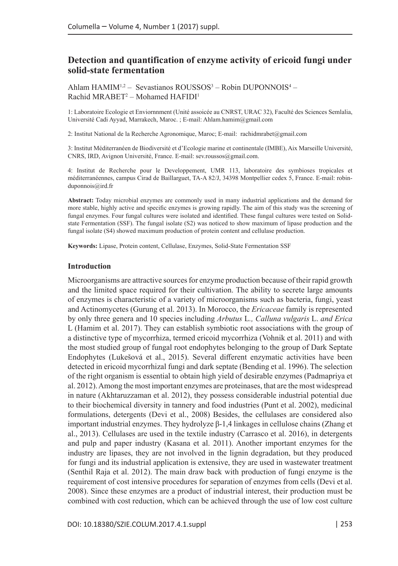# **Detection and quantification of enzyme activity of ericoid fungi under solid-state fermentation**

Ahlam HAMIM<sup>1,2</sup> – Sevastianos ROUSSOS<sup>3</sup> – Robin DUPONNOIS<sup>4</sup> – Rachid MRABET<sup>2</sup> – Mohamed HAFIDI<sup>1</sup>

1: Laboratoire Ecologie et Enviornnment (Unité assoicée au CNRST, URAC 32), Faculté des Sciences Semlalia, Université Cadi Ayyad, Marrakech, Maroc. ; E-mail: Ahlam.hamim@gmail.com

2: Institut National de la Recherche Agronomique, Maroc; E-mail: rachidmrabet@gmail.com

3: Institut Méditerranéen de Biodiversité et d'Ecologie marine et continentale (IMBE), Aix Marseille Université, CNRS, IRD, Avignon Université, France. E-mail: sev.roussos@gmail.com.

4: Institut de Recherche pour le Developpement, UMR 113, laboratoire des symbioses tropicales et méditerranéennes, campus Cirad de Baillarguet, TA-A 82/J, 34398 Montpellier cedex 5, France. E-mail: robinduponnois@ird.fr

**Abstract:** Today microbial enzymes are commonly used in many industrial applications and the demand for more stable, highly active and specific enzymes is growing rapidly. The aim of this study was the screening of fungal enzymes. Four fungal cultures were isolated and identified. These fungal cultures were tested on Solidstate Fermentation (SSF). The fungal isolate (S2) was noticed to show maximum of lipase production and the fungal isolate (S4) showed maximum production of protein content and cellulase production.

**Keywords:** Lipase, Protein content, Cellulase, Enzymes, Solid-State Fermentation SSF

### **Introduction**

Microorganisms are attractive sources for enzyme production because of their rapid growth and the limited space required for their cultivation. The ability to secrete large amounts of enzymes is characteristic of a variety of microorganisms such as bacteria, fungi, yeast and Actinomycetes (Gurung et al. 2013). In Morocco, the *Ericaceae* family is represented by only three genera and 10 species including *Arbutus* L*., Calluna vulgaris* L. *and Erica*  L (Hamim et al. 2017). They can establish symbiotic root associations with the group of a distinctive type of mycorrhiza, termed ericoid mycorrhiza (Vohnik et al. 2011) and with the most studied group of fungal root endophytes belonging to the group of Dark Septate Endophytes (Lukešová et al., 2015). Several different enzymatic activities have been detected in ericoid mycorrhizal fungi and dark septate (Bending et al. 1996). The selection of the right organism is essential to obtain high yield of desirable enzymes (Padmapriya et al. 2012). Among the most important enzymes are proteinases, that are the most widespread in nature (Akhtaruzzaman et al. 2012), they possess considerable industrial potential due to their biochemical diversity in tannery and food industries (Punt et al. 2002), medicinal formulations, detergents (Devi et al., 2008) Besides, the cellulases are considered also important industrial enzymes. They hydrolyze β-1,4 linkages in cellulose chains (Zhang et al., 2013). Cellulases are used in the textile industry (Carrasco et al. 2016), in detergents and pulp and paper industry (Kasana et al. 2011). Another important enzymes for the industry are lipases, they are not involved in the lignin degradation, but they produced for fungi and its industrial application is extensive, they are used in wastewater treatment (Senthil Raja et al. 2012). The main draw back with production of fungi enzyme is the requirement of cost intensive procedures for separation of enzymes from cells (Devi et al. 2008). Since these enzymes are a product of industrial interest, their production must be combined with cost reduction, which can be achieved through the use of low cost culture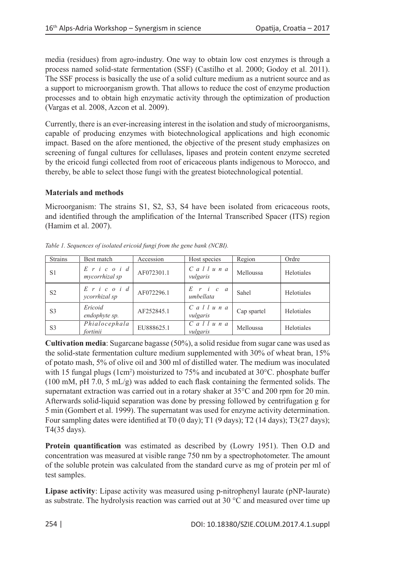media (residues) from agro-industry. One way to obtain low cost enzymes is through a process named solid-state fermentation (SSF) (Castilho et al. 2000; Godoy et al. 2011). The SSF process is basically the use of a solid culture medium as a nutrient source and as a support to microorganism growth. That allows to reduce the cost of enzyme production processes and to obtain high enzymatic activity through the optimization of production (Vargas et al. 2008, Azcon et al. 2009).

Currently, there is an ever-increasing interest in the isolation and study of microorganisms, capable of producing enzymes with biotechnological applications and high economic impact. Based on the afore mentioned, the objective of the present study emphasizes on screening of fungal cultures for cellulases, lipases and protein content enzyme secreted by the ericoid fungi collected from root of ericaceous plants indigenous to Morocco, and thereby, be able to select those fungi with the greatest biotechnological potential.

**Materials and methods** 

Microorganism: The strains S1, S2, S3, S4 have been isolated from ericaceous roots, and identified through the amplification of the Internal Transcribed Spacer (ITS) region (Hamim et al. 2007).

| <b>Strains</b> | Best match                        | Accession  | Host species                                  | Region      | Ordre      |
|----------------|-----------------------------------|------------|-----------------------------------------------|-------------|------------|
| S1             | $E$ r i c o i d<br>mycorrhizal sp | AF072301.1 | $C$ all $u$ n a<br>vulgaris                   | Melloussa   | Helotiales |
| S <sub>2</sub> | $E$ r i c o i d<br>ycorrhizal sp  | AF072296.1 | E<br>$r \quad i \quad c \quad a$<br>umbellata | Sahel       | Helotiales |
| S <sub>3</sub> | Ericoid<br>endophyte sp.          | AF252845.1 | $C$ a l l u n a<br>vulgaris                   | Cap spartel | Helotiales |
| S <sub>3</sub> | Phialocephala<br>fortinii         | EU888625.1 | $C$ all $u$ n a<br>vulgaris                   | Melloussa   | Helotiales |

*Table 1. Sequences of isolated ericoid fungi from the gene bank (NCBI).*

**Cultivation media**: Sugarcane bagasse (50%), a solid residue from sugar cane was used as the solid-state fermentation culture medium supplemented with 30% of wheat bran, 15% of potato mash, 5% of olive oil and 300 ml of distilled water. The medium was inoculated with 15 fungal plugs (1cm<sup>2</sup>) moisturized to 75% and incubated at 30°C. phosphate buffer (100 mM, pH 7.0, 5 mL/g) was added to each flask containing the fermented solids. The supernatant extraction was carried out in a rotary shaker at 35°C and 200 rpm for 20 min. Afterwards solid-liquid separation was done by pressing followed by centrifugation g for 5 min (Gombert et al. 1999). The supernatant was used for enzyme activity determination. Four sampling dates were identified at T0 (0 day); T1 (9 days); T2 (14 days); T3(27 days); T4(35 days).

**Protein quantification** was estimated as described by (Lowry 1951). Then O.D and concentration was measured at visible range 750 nm by a spectrophotometer. The amount of the soluble protein was calculated from the standard curve as mg of protein per ml of test samples.

**Lipase activity**: Lipase activity was measured using p-nitrophenyl laurate (pNP-laurate) as substrate. The hydrolysis reaction was carried out at 30 °C and measured over time up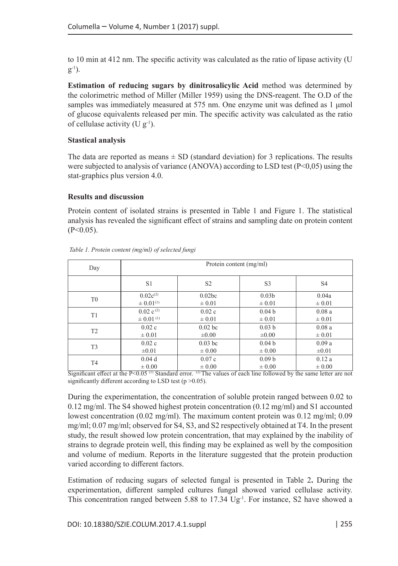to 10 min at 412 nm. The specific activity was calculated as the ratio of lipase activity (U  $g^{-1}$ ).

**Estimation of reducing sugars by dinitrosalicylic Acid** method was determined by the colorimetric method of Miller (Miller 1959) using the DNS-reagent. The O.D of the samples was immediately measured at 575 nm. One enzyme unit was defined as 1 μmol of glucose equivalents released per min. The specific activity was calculated as the ratio of cellulase activity (U  $g^{-1}$ ).

## **Stastical analysis**

The data are reported as means  $\pm$  SD (standard deviation) for 3 replications. The results were subjected to analysis of variance (ANOVA) according to LSD test (P<0,05) using the stat-graphics plus version 4.0.

### **Results and discussion**

Protein content of isolated strains is presented in Table 1 and Figure 1. The statistical analysis has revealed the significant effect of strains and sampling date on protein content  $(P<0.05)$ .

| Day            | Protein content (mg/ml)   |                |                   |                |  |  |
|----------------|---------------------------|----------------|-------------------|----------------|--|--|
|                | S1                        | S <sub>2</sub> | S <sub>3</sub>    | S <sub>4</sub> |  |  |
| T <sub>0</sub> | $0.02c^{(2)}$             | 0.02bc         | 0.03 <sub>b</sub> | 0.04a          |  |  |
|                | $\pm 0.01^{(1)}$          | $\pm 0.01$     | $\pm 0.01$        | $\pm 0.01$     |  |  |
| T1             | $0.02 \text{ c}^{(2)}$    | 0.02c          | 0.04 <sub>b</sub> | 0.08a          |  |  |
|                | $\pm$ 0.01 <sup>(1)</sup> | $\pm 0.01$     | $\pm 0.01$        | $\pm 0.01$     |  |  |
| T <sub>2</sub> | 0.02c                     | $0.02$ bc      | 0.03 <sub>b</sub> | 0.08a          |  |  |
|                | $\pm 0.01$                | $\pm 0.00$     | $\pm 0.00$        | $\pm 0.01$     |  |  |
| T <sub>3</sub> | 0.02c                     | $0.03$ bc      | 0.04 <sub>b</sub> | 0.09a          |  |  |
|                | $\pm 0.01$                | $\pm 0.00$     | $\pm 0.00$        | $\pm 0.01$     |  |  |
| T <sub>4</sub> | 0.04d                     | 0.07c          | 0.09 <sub>b</sub> | 0.12a          |  |  |
|                | $\pm 0.00$                | $\pm 0.00$     | $\pm 0.00$        | $\pm 0.00$     |  |  |

 *Table 1. Protein content (mg/ml) of selected fungi* 

Significant effect at the  $P<0.05$  <sup>(1)</sup> Standard error. <sup>(2)</sup> The values of each line followed by the same letter are not significantly different according to LSD test (p > 0.05).

During the experimentation, the concentration of soluble protein ranged between 0.02 to 0.12 mg/ml. The S4 showed highest protein concentration (0.12 mg/ml) and S1 accounted lowest concentration (0.02 mg/ml). The maximum content protein was 0.12 mg/ml; 0.09 mg/ml; 0.07 mg/ml; observed for S4, S3, and S2 respectively obtained at T4. In the present study, the result showed low protein concentration, that may explained by the inability of strains to degrade protein well, this finding may be explained as well by the composition and volume of medium. Reports in the literature suggested that the protein production varied according to different factors.

Estimation of reducing sugars of selected fungal is presented in Table 2**.** During the experimentation, different sampled cultures fungal showed varied cellulase activity. This concentration ranged between 5.88 to 17.34  $Ug<sup>-1</sup>$ . For instance, S2 have showed a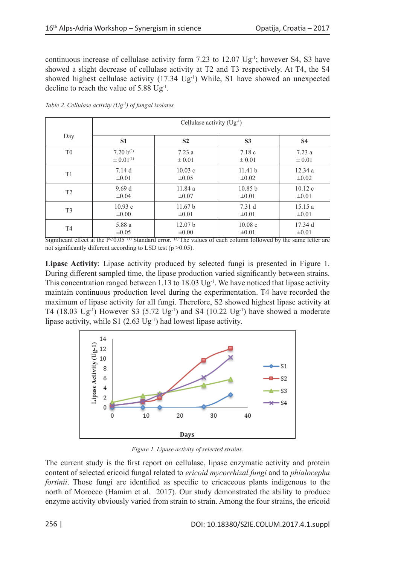continuous increase of cellulase activity form 7.23 to 12.07 Ug<sup>-1</sup>; however S4, S3 have showed a slight decrease of cellulase activity at T2 and T3 respectively. At T4, the S4 showed highest cellulase activity  $(17.34 \text{ Ug}^{-1})$  While, S1 have showed an unexpected decline to reach the value of 5.88 Ug-1.

|                | Cellulase activity $(Ug^{-1})$ |                    |                |            |  |
|----------------|--------------------------------|--------------------|----------------|------------|--|
| Day            | S <sub>1</sub>                 | S <sub>2</sub>     | S <sub>3</sub> | <b>S4</b>  |  |
| T <sub>0</sub> | $7.20 b^{(2)}$                 | 7.23a              | 7.18c          | 7.23a      |  |
|                | $\pm 0.01^{(1)}$               | $\pm 0.01$         | $\pm 0.01$     | $\pm 0.01$ |  |
| T <sub>1</sub> | 7.14d                          | 10.03c             | 11.41 h        | 12.34a     |  |
|                | $\pm 0.01$                     | $\pm 0.05$         | $\pm 0.02$     | $\pm 0.02$ |  |
| T <sub>2</sub> | 9.69d                          | 11.84 a            | 10.85 b        | 10.12c     |  |
|                | $\pm 0.04$                     | $\pm 0.07$         | $\pm 0.01$     | $\pm 0.01$ |  |
| T <sub>3</sub> | 10.93c                         | 11.67 <sub>b</sub> | 7.31 d         | 15.15a     |  |
|                | $\pm 0.00$                     | $\pm 0.01$         | $\pm 0.01$     | $\pm 0.01$ |  |
| T <sub>4</sub> | 5.88 a                         | 12.07 <sub>b</sub> | 10.08c         | 17.34 d    |  |
|                | $\pm 0.05$                     | $\pm 0.00$         | $\pm 0.01$     | $\pm 0.01$ |  |

*Table 2. Cellulase activity (Ug-1) of fungal isolates* 

Significant effect at the  $P<0.05$  <sup>(1)</sup> Standard error. <sup>(2)</sup> The values of each column followed by the same letter are not significantly different according to LSD test ( $p > 0.05$ ).

**Lipase Activity**: Lipase activity produced by selected fungi is presented in Figure 1. During different sampled time, the lipase production varied significantly between strains. This concentration ranged between 1.13 to 18.03  $\text{Ug}^{-1}$ . We have noticed that lipase activity maintain continuous production level during the experimentation. T4 have recorded the maximum of lipase activity for all fungi. Therefore, S2 showed highest lipase activity at T4 (18.03 Ug<sup>-1</sup>) However S3 (5.72 Ug<sup>-1</sup>) and S4 (10.22 Ug<sup>-1</sup>) have showed a moderate lipase activity, while S1  $(2.63 \text{ Ug}^1)$  had lowest lipase activity.



*Figure 1. Lipase activity of selected strains.*

The current study is the first report on cellulase, lipase enzymatic activity and protein content of selected ericoid fungal related to *ericoid mycorrhizal fungi* and to *phialocepha fortinii*. Those fungi are identified as specific to ericaceous plants indigenous to the north of Morocco (Hamim et al. 2017). Our study demonstrated the ability to produce enzyme activity obviously varied from strain to strain. Among the four strains, the ericoid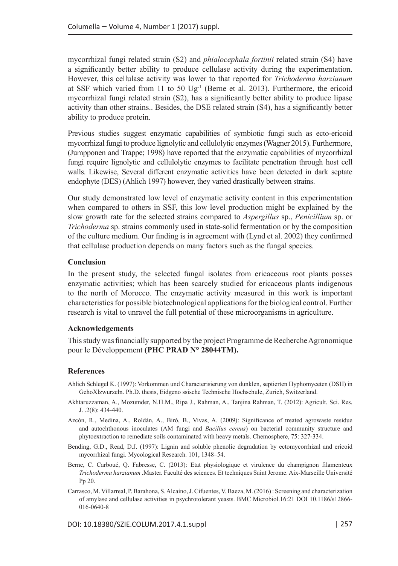mycorrhizal fungi related strain (S2) and *phialocephala fortinii* related strain (S4) have a significantly better ability to produce cellulase activity during the experimentation. However, this cellulase activity was lower to that reported for *Trichoderma harzianum* at SSF which varied from 11 to 50  $\text{Ug}^{-1}$  (Berne et al. 2013). Furthermore, the ericoid mycorrhizal fungi related strain (S2), has a significantly better ability to produce lipase activity than other strains.. Besides, the DSE related strain (S4), has a significantly better ability to produce protein.

Previous studies suggest enzymatic capabilities of symbiotic fungi such as ecto-ericoid mycorrhizal fungi to produce lignolytic and cellulolytic enzymes (Wagner 2015). Furthermore, (Jumpponen and Trappe; 1998) have reported that the enzymatic capabilities of mycorrhizal fungi require lignolytic and cellulolytic enzymes to facilitate penetration through host cell walls. Likewise, Several different enzymatic activities have been detected in dark septate endophyte (DES) (Ahlich 1997) however, they varied drastically between strains.

Our study demonstrated low level of enzymatic activity content in this experimentation when compared to others in SSF, this low level production might be explained by the slow growth rate for the selected strains compared to *Aspergillus* sp., *Penicillium* sp. or *Trichoderma* sp. strains commonly used in state-solid fermentation or by the composition of the culture medium. Our finding is in agreement with (Lynd et al. 2002) they confirmed that cellulase production depends on many factors such as the fungal species.

#### **Conclusion**

In the present study, the selected fungal isolates from ericaceous root plants posses enzymatic activities; which has been scarcely studied for ericaceous plants indigenous to the north of Morocco. The enzymatic activity measured in this work is important characteristics for possible biotechnological applications for the biological control. Further research is vital to unravel the full potential of these microorganisms in agriculture.

#### **Acknowledgements**

This study was financially supported by the project Programme de Recherche Agronomique pour le Développement **(PHC PRAD N° 28044TM).** 

#### **References**

- Ahlich Schlegel K. (1997): Vorkommen und Characterisierung von dunklen, septierten Hyphomyceten (DSH) in GehoXlzwurzeln. Ph.D. thesis, Eidgeno ssische Technische Hochschule, Zurich, Switzerland.
- Akhtaruzzaman, A., Mozumder, N.H.M., Ripa J., Rahman, A., Tanjina Rahman, T. (2012): Agricult. Sci. Res. J. .2(8): 434-440.
- Azcón, R., Medina, A., Roldán, A., Biró, B., Vivas, A. (2009): Significance of treated agrowaste residue and autochthonous inoculates (AM fungi and *Bacillus cereus*) on bacterial community structure and phytoextraction to remediate soils contaminated with heavy metals. Chemosphere, 75: 327-334.
- Bending, G.D., Read, D.J. (1997): Lignin and soluble phenolic degradation by ectomycorrhizal and ericoid mycorrhizal fungi. Mycological Research. 101, 1348–54.
- Berne, C. Carboué, Q. Fabresse, C. (2013): Etat physiologique et virulence du champignon filamenteux *Trichoderma harzianum* .Master. Faculté des sciences. Et techniques Saint Jerome. Aix-Marseille Université Pp 20.
- Carrasco, M. Villarreal, P. Barahona, S. Alcaíno, J. Cifuentes, V. Baeza, M. (2016): Screening and characterization of amylase and cellulase activities in psychrotolerant yeasts. BMC Microbiol.16:21 DOI 10.1186/s12866- 016-0640-8